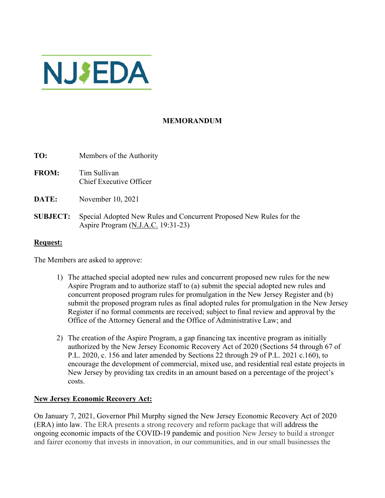

# **MEMORANDUM**

| TO:             | Members of the Authority                                                                                  |
|-----------------|-----------------------------------------------------------------------------------------------------------|
| <b>FROM:</b>    | Tim Sullivan<br>Chief Executive Officer                                                                   |
| DATE:           | November 10, 2021                                                                                         |
| <b>SUBJECT:</b> | Special Adopted New Rules and Concurrent Proposed New Rules for the<br>Aspire Program (N.J.A.C. 19:31-23) |

## **Request:**

The Members are asked to approve:

- 1) The attached special adopted new rules and concurrent proposed new rules for the new Aspire Program and to authorize staff to (a) submit the special adopted new rules and concurrent proposed program rules for promulgation in the New Jersey Register and (b) submit the proposed program rules as final adopted rules for promulgation in the New Jersey Register if no formal comments are received; subject to final review and approval by the Office of the Attorney General and the Office of Administrative Law; and
- 2) The creation of the Aspire Program, a gap financing tax incentive program as initially authorized by the New Jersey Economic Recovery Act of 2020 (Sections 54 through 67 of P.L. 2020, c. 156 and later amended by Sections 22 through 29 of P.L. 2021 c.160), to encourage the development of commercial, mixed use, and residential real estate projects in New Jersey by providing tax credits in an amount based on a percentage of the project's costs.

#### **New Jersey Economic Recovery Act:**

On January 7, 2021, Governor Phil Murphy signed the New Jersey Economic Recovery Act of 2020 (ERA) into law. The ERA presents a strong recovery and reform package that will address the ongoing economic impacts of the COVID-19 pandemic and position New Jersey to build a stronger and fairer economy that invests in innovation, in our communities, and in our small businesses the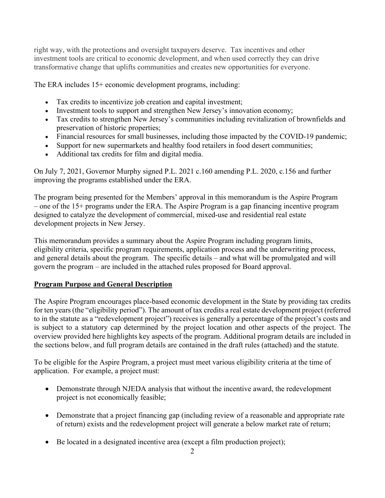right way, with the protections and oversight taxpayers deserve. Tax incentives and other investment tools are critical to economic development, and when used correctly they can drive transformative change that uplifts communities and creates new opportunities for everyone.

The ERA includes 15+ economic development programs, including:

- Tax credits to incentivize job creation and capital investment;
- Investment tools to support and strengthen New Jersey's innovation economy;
- Tax credits to strengthen New Jersey's communities including revitalization of brownfields and preservation of historic properties;
- Financial resources for small businesses, including those impacted by the COVID-19 pandemic;
- Support for new supermarkets and healthy food retailers in food desert communities;
- Additional tax credits for film and digital media.

On July 7, 2021, Governor Murphy signed P.L. 2021 c.160 amending P.L. 2020, c.156 and further improving the programs established under the ERA.

The program being presented for the Members' approval in this memorandum is the Aspire Program – one of the 15+ programs under the ERA. The Aspire Program is a gap financing incentive program designed to catalyze the development of commercial, mixed-use and residential real estate development projects in New Jersey.

This memorandum provides a summary about the Aspire Program including program limits, eligibility criteria, specific program requirements, application process and the underwriting process, and general details about the program. The specific details – and what will be promulgated and will govern the program – are included in the attached rules proposed for Board approval.

# **Program Purpose and General Description**

The Aspire Program encourages place-based economic development in the State by providing tax credits for ten years (the "eligibility period"). The amount of tax credits a real estate development project (referred to in the statute as a "redevelopment project") receives is generally a percentage of the project's costs and is subject to a statutory cap determined by the project location and other aspects of the project. The overview provided here highlights key aspects of the program. Additional program details are included in the sections below, and full program details are contained in the draft rules (attached) and the statute.

To be eligible for the Aspire Program, a project must meet various eligibility criteria at the time of application. For example, a project must:

- Demonstrate through NJEDA analysis that without the incentive award, the redevelopment project is not economically feasible;
- Demonstrate that a project financing gap (including review of a reasonable and appropriate rate of return) exists and the redevelopment project will generate a below market rate of return;
- Be located in a designated incentive area (except a film production project);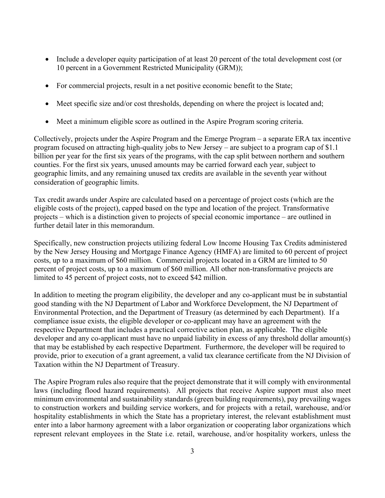- Include a developer equity participation of at least 20 percent of the total development cost (or 10 percent in a Government Restricted Municipality (GRM));
- For commercial projects, result in a net positive economic benefit to the State;
- Meet specific size and/or cost thresholds, depending on where the project is located and;
- Meet a minimum eligible score as outlined in the Aspire Program scoring criteria.

Collectively, projects under the Aspire Program and the Emerge Program – a separate ERA tax incentive program focused on attracting high-quality jobs to New Jersey – are subject to a program cap of \$1.1 billion per year for the first six years of the programs, with the cap split between northern and southern counties. For the first six years, unused amounts may be carried forward each year, subject to geographic limits, and any remaining unused tax credits are available in the seventh year without consideration of geographic limits.

Tax credit awards under Aspire are calculated based on a percentage of project costs (which are the eligible costs of the project), capped based on the type and location of the project. Transformative projects – which is a distinction given to projects of special economic importance – are outlined in further detail later in this memorandum.

Specifically, new construction projects utilizing federal Low Income Housing Tax Credits administered by the New Jersey Housing and Mortgage Finance Agency (HMFA) are limited to 60 percent of project costs, up to a maximum of \$60 million. Commercial projects located in a GRM are limited to 50 percent of project costs, up to a maximum of \$60 million. All other non-transformative projects are limited to 45 percent of project costs, not to exceed \$42 million.

In addition to meeting the program eligibility, the developer and any co-applicant must be in substantial good standing with the NJ Department of Labor and Workforce Development, the NJ Department of Environmental Protection, and the Department of Treasury (as determined by each Department). If a compliance issue exists, the eligible developer or co-applicant may have an agreement with the respective Department that includes a practical corrective action plan, as applicable. The eligible developer and any co-applicant must have no unpaid liability in excess of any threshold dollar amount(s) that may be established by each respective Department. Furthermore, the developer will be required to provide, prior to execution of a grant agreement, a valid tax clearance certificate from the NJ Division of Taxation within the NJ Department of Treasury.

The Aspire Program rules also require that the project demonstrate that it will comply with environmental laws (including flood hazard requirements). All projects that receive Aspire support must also meet minimum environmental and sustainability standards (green building requirements), pay prevailing wages to construction workers and building service workers, and for projects with a retail, warehouse, and/or hospitality establishments in which the State has a proprietary interest, the relevant establishment must enter into a labor harmony agreement with a labor organization or cooperating labor organizations which represent relevant employees in the State i.e. retail, warehouse, and/or hospitality workers, unless the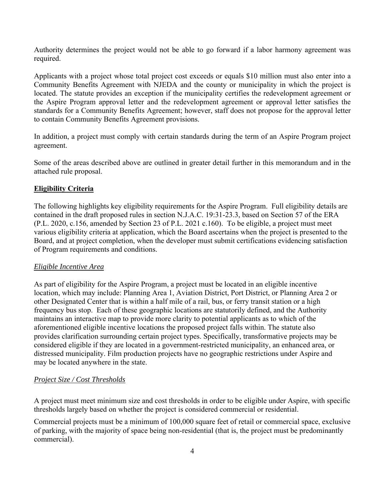Authority determines the project would not be able to go forward if a labor harmony agreement was required.

Applicants with a project whose total project cost exceeds or equals \$10 million must also enter into a Community Benefits Agreement with NJEDA and the county or municipality in which the project is located. The statute provides an exception if the municipality certifies the redevelopment agreement or the Aspire Program approval letter and the redevelopment agreement or approval letter satisfies the standards for a Community Benefits Agreement; however, staff does not propose for the approval letter to contain Community Benefits Agreement provisions.

In addition, a project must comply with certain standards during the term of an Aspire Program project agreement.

Some of the areas described above are outlined in greater detail further in this memorandum and in the attached rule proposal.

## **Eligibility Criteria**

The following highlights key eligibility requirements for the Aspire Program. Full eligibility details are contained in the draft proposed rules in section N.J.A.C. 19:31-23.3, based on Section 57 of the ERA (P.L. 2020, c.156, amended by Section 23 of P.L. 2021 c.160). To be eligible, a project must meet various eligibility criteria at application, which the Board ascertains when the project is presented to the Board, and at project completion, when the developer must submit certifications evidencing satisfaction of Program requirements and conditions.

## *Eligible Incentive Area*

As part of eligibility for the Aspire Program, a project must be located in an eligible incentive location, which may include: Planning Area 1, Aviation District, Port District, or Planning Area 2 or other Designated Center that is within a half mile of a rail, bus, or ferry transit station or a high frequency bus stop. Each of these geographic locations are statutorily defined, and the Authority maintains an interactive map to provide more clarity to potential applicants as to which of the aforementioned eligible incentive locations the proposed project falls within. The statute also provides clarification surrounding certain project types. Specifically, transformative projects may be considered eligible if they are located in a government-restricted municipality, an enhanced area, or distressed municipality. Film production projects have no geographic restrictions under Aspire and may be located anywhere in the state.

## *Project Size / Cost Thresholds*

A project must meet minimum size and cost thresholds in order to be eligible under Aspire, with specific thresholds largely based on whether the project is considered commercial or residential.

Commercial projects must be a minimum of 100,000 square feet of retail or commercial space, exclusive of parking, with the majority of space being non-residential (that is, the project must be predominantly commercial).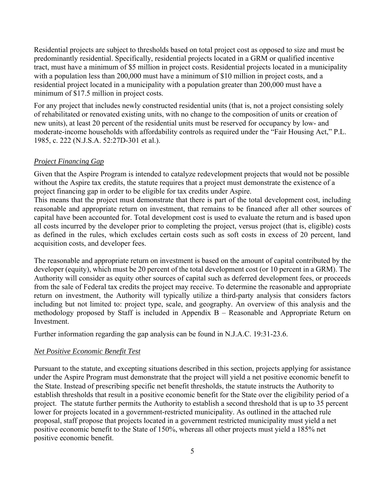Residential projects are subject to thresholds based on total project cost as opposed to size and must be predominantly residential. Specifically, residential projects located in a GRM or qualified incentive tract, must have a minimum of \$5 million in project costs. Residential projects located in a municipality with a population less than 200,000 must have a minimum of \$10 million in project costs, and a residential project located in a municipality with a population greater than 200,000 must have a minimum of \$17.5 million in project costs.

For any project that includes newly constructed residential units (that is, not a project consisting solely of rehabilitated or renovated existing units, with no change to the composition of units or creation of new units), at least 20 percent of the residential units must be reserved for occupancy by low- and moderate-income households with affordability controls as required under the "Fair Housing Act," P.L. 1985, c. 222 (N.J.S.A. 52:27D-301 et al.).

#### *Project Financing Gap*

Given that the Aspire Program is intended to catalyze redevelopment projects that would not be possible without the Aspire tax credits, the statute requires that a project must demonstrate the existence of a project financing gap in order to be eligible for tax credits under Aspire.

This means that the project must demonstrate that there is part of the total development cost, including reasonable and appropriate return on investment, that remains to be financed after all other sources of capital have been accounted for. Total development cost is used to evaluate the return and is based upon all costs incurred by the developer prior to completing the project, versus project (that is, eligible) costs as defined in the rules, which excludes certain costs such as soft costs in excess of 20 percent, land acquisition costs, and developer fees.

The reasonable and appropriate return on investment is based on the amount of capital contributed by the developer (equity), which must be 20 percent of the total development cost (or 10 percent in a GRM). The Authority will consider as equity other sources of capital such as deferred development fees, or proceeds from the sale of Federal tax credits the project may receive. To determine the reasonable and appropriate return on investment, the Authority will typically utilize a third-party analysis that considers factors including but not limited to: project type, scale, and geography. An overview of this analysis and the methodology proposed by Staff is included in Appendix B – Reasonable and Appropriate Return on Investment.

Further information regarding the gap analysis can be found in N.J.A.C. 19:31-23.6.

#### *Net Positive Economic Benefit Test*

Pursuant to the statute, and excepting situations described in this section, projects applying for assistance under the Aspire Program must demonstrate that the project will yield a net positive economic benefit to the State. Instead of prescribing specific net benefit thresholds, the statute instructs the Authority to establish thresholds that result in a positive economic benefit for the State over the eligibility period of a project. The statute further permits the Authority to establish a second threshold that is up to 35 percent lower for projects located in a government-restricted municipality. As outlined in the attached rule proposal, staff propose that projects located in a government restricted municipality must yield a net positive economic benefit to the State of 150%, whereas all other projects must yield a 185% net positive economic benefit.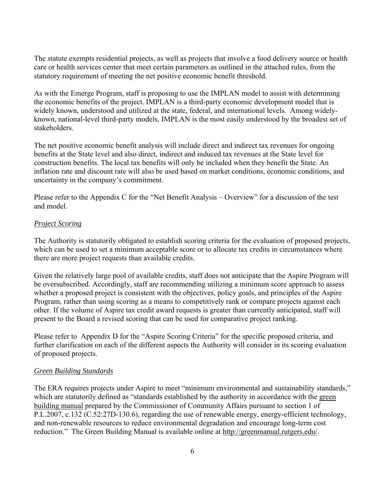The statute exempts residential projects, as well as projects that involve a food delivery source or health care or health services center that meet certain parameters as outlined in the attached rules, from the statutory requirement of meeting the net positive economic benefit threshold.

As with the Emerge Program, staff is proposing to use the IMPLAN model to assist with determining the economic benefits of the project. IMPLAN is a third-party economic development model that is widely known, understood and utilized at the state, federal, and international levels. Among widelyknown, national-level third-party models, IMPLAN is the most easily understood by the broadest set of stakeholders.

The net positive economic benefit analysis will include direct and indirect tax revenues for ongoing benefits at the State level and also direct, indirect and induced tax revenues at the State level for construction benefits. The local tax benefits will only be included when they benefit the State. An inflation rate and discount rate will also be used based on market conditions, economic conditions, and uncertainty in the company's commitment.

Please refer to the Appendix C for the "Net Benefit Analysis – Overview" for a discussion of the test and model.

### *Project Scoring*

The Authority is statutorily obligated to establish scoring criteria for the evaluation of proposed projects, which can be used to set a minimum acceptable score or to allocate tax credits in circumstances where there are more project requests than available credits.

Given the relatively large pool of available credits, staff does not anticipate that the Aspire Program will be oversubscribed. Accordingly, staff are recommending utilizing a minimum score approach to assess whether a proposed project is consistent with the objectives, policy goals, and principles of the Aspire Program, rather than using scoring as a means to competitively rank or compare projects against each other. If the volume of Aspire tax credit award requests is greater than currently anticipated, staff will present to the Board a revised scoring that can be used for comparative project ranking.

Please refer to Appendix D for the "Aspire Scoring Criteria" for the specific proposed criteria, and further clarification on each of the different aspects the Authority will consider in its scoring evaluation of proposed projects.

#### *Green Building Standards*

The ERA requires projects under Aspire to meet "minimum environmental and sustainability standards," which are statutorily defined as "standards established by the authority in accordance with the green building manual prepared by the Commissioner of Community Affairs pursuant to section 1 of P.L.2007, c.132 (C.52:27D-130.6), regarding the use of renewable energy, energy-efficient technology, and non-renewable resources to reduce environmental degradation and encourage long-term cost reduction." The Green Building Manual is available online at http://greenmanual.rutgers.edu/.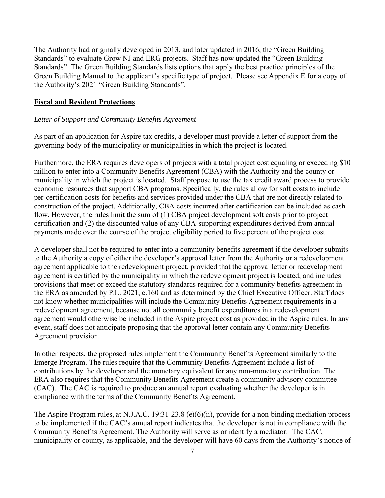The Authority had originally developed in 2013, and later updated in 2016, the "Green Building Standards" to evaluate Grow NJ and ERG projects. Staff has now updated the "Green Building Standards". The Green Building Standards lists options that apply the best practice principles of the Green Building Manual to the applicant's specific type of project. Please see Appendix E for a copy of the Authority's 2021 "Green Building Standards".

### **Fiscal and Resident Protections**

#### *Letter of Support and Community Benefits Agreement*

As part of an application for Aspire tax credits, a developer must provide a letter of support from the governing body of the municipality or municipalities in which the project is located.

Furthermore, the ERA requires developers of projects with a total project cost equaling or exceeding \$10 million to enter into a Community Benefits Agreement (CBA) with the Authority and the county or municipality in which the project is located. Staff propose to use the tax credit award process to provide economic resources that support CBA programs. Specifically, the rules allow for soft costs to include per-certification costs for benefits and services provided under the CBA that are not directly related to construction of the project. Additionally, CBA costs incurred after certification can be included as cash flow. However, the rules limit the sum of (1) CBA project development soft costs prior to project certification and (2) the discounted value of any CBA-supporting expenditures derived from annual payments made over the course of the project eligibility period to five percent of the project cost.

A developer shall not be required to enter into a community benefits agreement if the developer submits to the Authority a copy of either the developer's approval letter from the Authority or a redevelopment agreement applicable to the redevelopment project, provided that the approval letter or redevelopment agreement is certified by the municipality in which the redevelopment project is located, and includes provisions that meet or exceed the statutory standards required for a community benefits agreement in the ERA as amended by P.L. 2021, c.160 and as determined by the Chief Executive Officer. Staff does not know whether municipalities will include the Community Benefits Agreement requirements in a redevelopment agreement, because not all community benefit expenditures in a redevelopment agreement would otherwise be included in the Aspire project cost as provided in the Aspire rules. In any event, staff does not anticipate proposing that the approval letter contain any Community Benefits Agreement provision.

In other respects, the proposed rules implement the Community Benefits Agreement similarly to the Emerge Program. The rules require that the Community Benefits Agreement include a list of contributions by the developer and the monetary equivalent for any non-monetary contribution. The ERA also requires that the Community Benefits Agreement create a community advisory committee (CAC). The CAC is required to produce an annual report evaluating whether the developer is in compliance with the terms of the Community Benefits Agreement.

The Aspire Program rules, at N.J.A.C. 19:31-23.8 (e)(6)(ii), provide for a non-binding mediation process to be implemented if the CAC's annual report indicates that the developer is not in compliance with the Community Benefits Agreement. The Authority will serve as or identify a mediator. The CAC, municipality or county, as applicable, and the developer will have 60 days from the Authority's notice of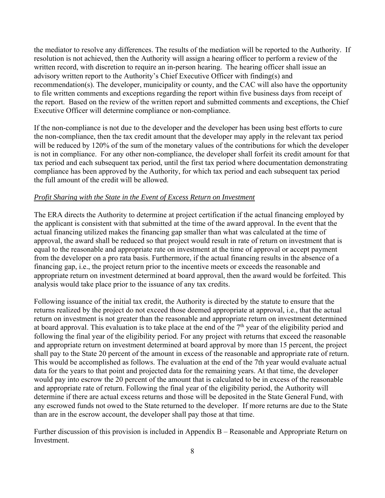the mediator to resolve any differences. The results of the mediation will be reported to the Authority. If resolution is not achieved, then the Authority will assign a hearing officer to perform a review of the written record, with discretion to require an in-person hearing. The hearing officer shall issue an advisory written report to the Authority's Chief Executive Officer with finding(s) and recommendation(s). The developer, municipality or county, and the CAC will also have the opportunity to file written comments and exceptions regarding the report within five business days from receipt of the report. Based on the review of the written report and submitted comments and exceptions, the Chief Executive Officer will determine compliance or non-compliance.

If the non-compliance is not due to the developer and the developer has been using best efforts to cure the non-compliance, then the tax credit amount that the developer may apply in the relevant tax period will be reduced by 120% of the sum of the monetary values of the contributions for which the developer is not in compliance. For any other non-compliance, the developer shall forfeit its credit amount for that tax period and each subsequent tax period, until the first tax period where documentation demonstrating compliance has been approved by the Authority, for which tax period and each subsequent tax period the full amount of the credit will be allowed.

### *Profit Sharing with the State in the Event of Excess Return on Investment*

The ERA directs the Authority to determine at project certification if the actual financing employed by the applicant is consistent with that submitted at the time of the award approval. In the event that the actual financing utilized makes the financing gap smaller than what was calculated at the time of approval, the award shall be reduced so that project would result in rate of return on investment that is equal to the reasonable and appropriate rate on investment at the time of approval or accept payment from the developer on a pro rata basis. Furthermore, if the actual financing results in the absence of a financing gap, i.e., the project return prior to the incentive meets or exceeds the reasonable and appropriate return on investment determined at board approval, then the award would be forfeited. This analysis would take place prior to the issuance of any tax credits.

Following issuance of the initial tax credit, the Authority is directed by the statute to ensure that the returns realized by the project do not exceed those deemed appropriate at approval, i.e., that the actual return on investment is not greater than the reasonable and appropriate return on investment determined at board approval. This evaluation is to take place at the end of the  $7<sup>th</sup>$  year of the eligibility period and following the final year of the eligibility period. For any project with returns that exceed the reasonable and appropriate return on investment determined at board approval by more than 15 percent, the project shall pay to the State 20 percent of the amount in excess of the reasonable and appropriate rate of return. This would be accomplished as follows. The evaluation at the end of the 7th year would evaluate actual data for the years to that point and projected data for the remaining years. At that time, the developer would pay into escrow the 20 percent of the amount that is calculated to be in excess of the reasonable and appropriate rate of return. Following the final year of the eligibility period, the Authority will determine if there are actual excess returns and those will be deposited in the State General Fund, with any escrowed funds not owed to the State returned to the developer. If more returns are due to the State than are in the escrow account, the developer shall pay those at that time.

Further discussion of this provision is included in Appendix B – Reasonable and Appropriate Return on Investment.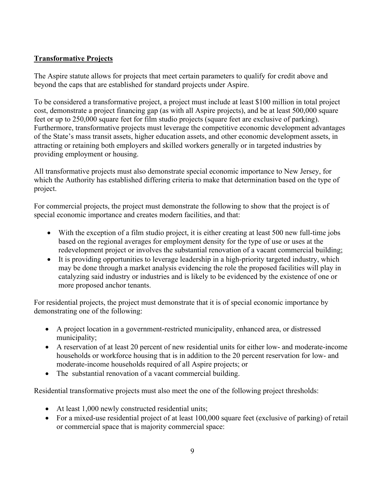# **Transformative Projects**

The Aspire statute allows for projects that meet certain parameters to qualify for credit above and beyond the caps that are established for standard projects under Aspire.

To be considered a transformative project, a project must include at least \$100 million in total project cost, demonstrate a project financing gap (as with all Aspire projects), and be at least 500,000 square feet or up to 250,000 square feet for film studio projects (square feet are exclusive of parking). Furthermore, transformative projects must leverage the competitive economic development advantages of the State's mass transit assets, higher education assets, and other economic development assets, in attracting or retaining both employers and skilled workers generally or in targeted industries by providing employment or housing.

All transformative projects must also demonstrate special economic importance to New Jersey, for which the Authority has established differing criteria to make that determination based on the type of project.

For commercial projects, the project must demonstrate the following to show that the project is of special economic importance and creates modern facilities, and that:

- With the exception of a film studio project, it is either creating at least 500 new full-time jobs based on the regional averages for employment density for the type of use or uses at the redevelopment project or involves the substantial renovation of a vacant commercial building;
- It is providing opportunities to leverage leadership in a high-priority targeted industry, which may be done through a market analysis evidencing the role the proposed facilities will play in catalyzing said industry or industries and is likely to be evidenced by the existence of one or more proposed anchor tenants.

For residential projects, the project must demonstrate that it is of special economic importance by demonstrating one of the following:

- A project location in a government-restricted municipality, enhanced area, or distressed municipality;
- A reservation of at least 20 percent of new residential units for either low- and moderate-income households or workforce housing that is in addition to the 20 percent reservation for low- and moderate-income households required of all Aspire projects; or
- The substantial renovation of a vacant commercial building.

Residential transformative projects must also meet the one of the following project thresholds:

- At least 1,000 newly constructed residential units;
- For a mixed-use residential project of at least 100,000 square feet (exclusive of parking) of retail or commercial space that is majority commercial space: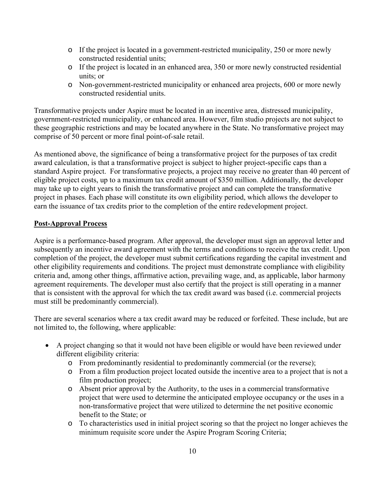- o If the project is located in a government-restricted municipality, 250 or more newly constructed residential units;
- o If the project is located in an enhanced area, 350 or more newly constructed residential units; or
- o Non-government-restricted municipality or enhanced area projects, 600 or more newly constructed residential units.

Transformative projects under Aspire must be located in an incentive area, distressed municipality, government-restricted municipality, or enhanced area. However, film studio projects are not subject to these geographic restrictions and may be located anywhere in the State. No transformative project may comprise of 50 percent or more final point-of-sale retail.

As mentioned above, the significance of being a transformative project for the purposes of tax credit award calculation, is that a transformative project is subject to higher project-specific caps than a standard Aspire project. For transformative projects, a project may receive no greater than 40 percent of eligible project costs, up to a maximum tax credit amount of \$350 million. Additionally, the developer may take up to eight years to finish the transformative project and can complete the transformative project in phases. Each phase will constitute its own eligibility period, which allows the developer to earn the issuance of tax credits prior to the completion of the entire redevelopment project.

## **Post-Approval Process**

Aspire is a performance-based program. After approval, the developer must sign an approval letter and subsequently an incentive award agreement with the terms and conditions to receive the tax credit. Upon completion of the project, the developer must submit certifications regarding the capital investment and other eligibility requirements and conditions. The project must demonstrate compliance with eligibility criteria and, among other things, affirmative action, prevailing wage, and, as applicable, labor harmony agreement requirements. The developer must also certify that the project is still operating in a manner that is consistent with the approval for which the tax credit award was based (i.e. commercial projects must still be predominantly commercial).

There are several scenarios where a tax credit award may be reduced or forfeited. These include, but are not limited to, the following, where applicable:

- A project changing so that it would not have been eligible or would have been reviewed under different eligibility criteria:
	- o From predominantly residential to predominantly commercial (or the reverse);
	- o From a film production project located outside the incentive area to a project that is not a film production project;
	- o Absent prior approval by the Authority, to the uses in a commercial transformative project that were used to determine the anticipated employee occupancy or the uses in a non-transformative project that were utilized to determine the net positive economic benefit to the State; or
	- o To characteristics used in initial project scoring so that the project no longer achieves the minimum requisite score under the Aspire Program Scoring Criteria;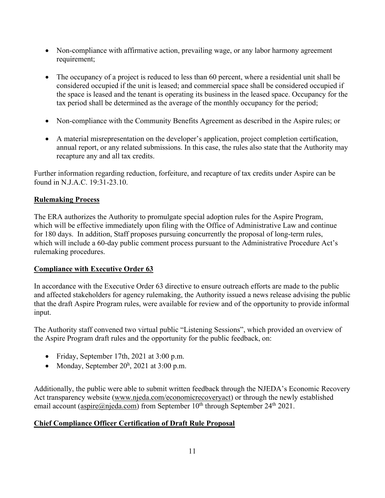- Non-compliance with affirmative action, prevailing wage, or any labor harmony agreement requirement;
- The occupancy of a project is reduced to less than 60 percent, where a residential unit shall be considered occupied if the unit is leased; and commercial space shall be considered occupied if the space is leased and the tenant is operating its business in the leased space. Occupancy for the tax period shall be determined as the average of the monthly occupancy for the period;
- Non-compliance with the Community Benefits Agreement as described in the Aspire rules; or
- A material misrepresentation on the developer's application, project completion certification, annual report, or any related submissions. In this case, the rules also state that the Authority may recapture any and all tax credits.

Further information regarding reduction, forfeiture, and recapture of tax credits under Aspire can be found in N.J.A.C. 19:31-23.10.

# **Rulemaking Process**

The ERA authorizes the Authority to promulgate special adoption rules for the Aspire Program, which will be effective immediately upon filing with the Office of Administrative Law and continue for 180 days. In addition, Staff proposes pursuing concurrently the proposal of long-term rules, which will include a 60-day public comment process pursuant to the Administrative Procedure Act's rulemaking procedures.

## **Compliance with Executive Order 63**

In accordance with the Executive Order 63 directive to ensure outreach efforts are made to the public and affected stakeholders for agency rulemaking, the Authority issued a news release advising the public that the draft Aspire Program rules, were available for review and of the opportunity to provide informal input.

The Authority staff convened two virtual public "Listening Sessions", which provided an overview of the Aspire Program draft rules and the opportunity for the public feedback, on:

- Friday, September 17th, 2021 at 3:00 p.m.
- Monday, September  $20<sup>h</sup>$ , 2021 at 3:00 p.m.

Additionally, the public were able to submit written feedback through the NJEDA's Economic Recovery Act transparency website (www.njeda.com/economicrecoveryact) or through the newly established email account (aspire@njeda.com) from September  $10^{th}$  through September  $24^{th}$  2021.

# **Chief Compliance Officer Certification of Draft Rule Proposal**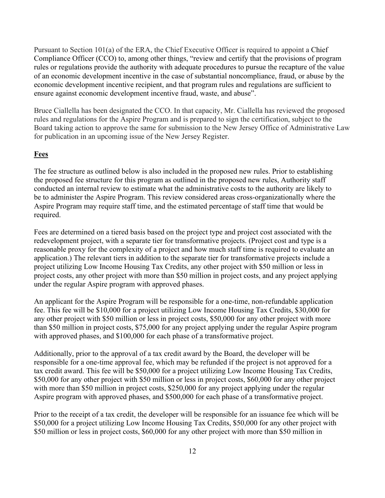Pursuant to Section 101(a) of the ERA, the Chief Executive Officer is required to appoint a Chief Compliance Officer (CCO) to, among other things, "review and certify that the provisions of program rules or regulations provide the authority with adequate procedures to pursue the recapture of the value of an economic development incentive in the case of substantial noncompliance, fraud, or abuse by the economic development incentive recipient, and that program rules and regulations are sufficient to ensure against economic development incentive fraud, waste, and abuse".

Bruce Ciallella has been designated the CCO. In that capacity, Mr. Ciallella has reviewed the proposed rules and regulations for the Aspire Program and is prepared to sign the certification, subject to the Board taking action to approve the same for submission to the New Jersey Office of Administrative Law for publication in an upcoming issue of the New Jersey Register.

#### **Fees**

The fee structure as outlined below is also included in the proposed new rules. Prior to establishing the proposed fee structure for this program as outlined in the proposed new rules, Authority staff conducted an internal review to estimate what the administrative costs to the authority are likely to be to administer the Aspire Program. This review considered areas cross-organizationally where the Aspire Program may require staff time, and the estimated percentage of staff time that would be required.

Fees are determined on a tiered basis based on the project type and project cost associated with the redevelopment project, with a separate tier for transformative projects. (Project cost and type is a reasonable proxy for the complexity of a project and how much staff time is required to evaluate an application.) The relevant tiers in addition to the separate tier for transformative projects include a project utilizing Low Income Housing Tax Credits, any other project with \$50 million or less in project costs, any other project with more than \$50 million in project costs, and any project applying under the regular Aspire program with approved phases.

An applicant for the Aspire Program will be responsible for a one-time, non-refundable application fee. This fee will be \$10,000 for a project utilizing Low Income Housing Tax Credits, \$30,000 for any other project with \$50 million or less in project costs, \$50,000 for any other project with more than \$50 million in project costs, \$75,000 for any project applying under the regular Aspire program with approved phases, and \$100,000 for each phase of a transformative project.

Additionally, prior to the approval of a tax credit award by the Board, the developer will be responsible for a one-time approval fee, which may be refunded if the project is not approved for a tax credit award. This fee will be \$50,000 for a project utilizing Low Income Housing Tax Credits, \$50,000 for any other project with \$50 million or less in project costs, \$60,000 for any other project with more than \$50 million in project costs, \$250,000 for any project applying under the regular Aspire program with approved phases, and \$500,000 for each phase of a transformative project.

Prior to the receipt of a tax credit, the developer will be responsible for an issuance fee which will be \$50,000 for a project utilizing Low Income Housing Tax Credits, \$50,000 for any other project with \$50 million or less in project costs, \$60,000 for any other project with more than \$50 million in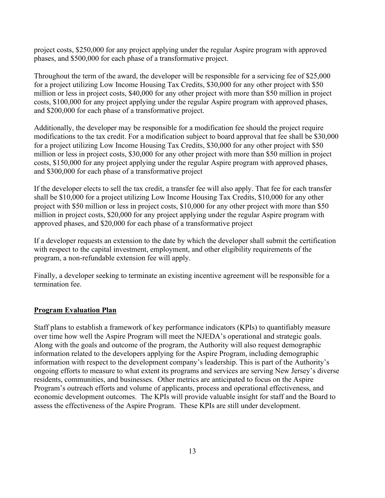project costs, \$250,000 for any project applying under the regular Aspire program with approved phases, and \$500,000 for each phase of a transformative project.

Throughout the term of the award, the developer will be responsible for a servicing fee of \$25,000 for a project utilizing Low Income Housing Tax Credits, \$30,000 for any other project with \$50 million or less in project costs, \$40,000 for any other project with more than \$50 million in project costs, \$100,000 for any project applying under the regular Aspire program with approved phases, and \$200,000 for each phase of a transformative project.

Additionally, the developer may be responsible for a modification fee should the project require modifications to the tax credit. For a modification subject to board approval that fee shall be \$30,000 for a project utilizing Low Income Housing Tax Credits, \$30,000 for any other project with \$50 million or less in project costs, \$30,000 for any other project with more than \$50 million in project costs, \$150,000 for any project applying under the regular Aspire program with approved phases, and \$300,000 for each phase of a transformative project

If the developer elects to sell the tax credit, a transfer fee will also apply. That fee for each transfer shall be \$10,000 for a project utilizing Low Income Housing Tax Credits, \$10,000 for any other project with \$50 million or less in project costs, \$10,000 for any other project with more than \$50 million in project costs, \$20,000 for any project applying under the regular Aspire program with approved phases, and \$20,000 for each phase of a transformative project

If a developer requests an extension to the date by which the developer shall submit the certification with respect to the capital investment, employment, and other eligibility requirements of the program, a non-refundable extension fee will apply.

Finally, a developer seeking to terminate an existing incentive agreement will be responsible for a termination fee.

## **Program Evaluation Plan**

Staff plans to establish a framework of key performance indicators (KPIs) to quantifiably measure over time how well the Aspire Program will meet the NJEDA's operational and strategic goals. Along with the goals and outcome of the program, the Authority will also request demographic information related to the developers applying for the Aspire Program, including demographic information with respect to the development company's leadership. This is part of the Authority's ongoing efforts to measure to what extent its programs and services are serving New Jersey's diverse residents, communities, and businesses. Other metrics are anticipated to focus on the Aspire Program's outreach efforts and volume of applicants, process and operational effectiveness, and economic development outcomes. The KPIs will provide valuable insight for staff and the Board to assess the effectiveness of the Aspire Program. These KPIs are still under development.